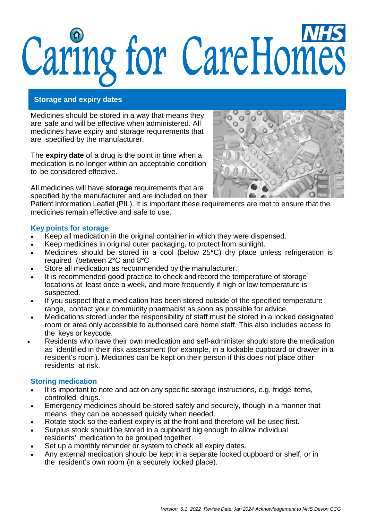# Caring for CareHomes

### **Storage and expiry dates**

Medicines should be stored in a way that means they are safe and will be effective when administered. All medicines have expiry and storage requirements that are specified by the manufacturer.

The **expiry date** of a drug is the point in time when a medication is no longer within an acceptable condition to be considered effective.

All medicines will have **storage** requirements that are specified by the manufacturer and are included on their



Patient Information Leaflet (PIL). It is important these requirements are met to ensure that the medicines remain effective and safe to use.

### **Key points for storage**

- Keep all medication in the original container in which they were dispensed.
- Keep medicines in original outer packaging, to protect from sunlight.
- Medicines should be stored in a cool (below 25**°**C) dry place unless refrigeration is required (between 2**°**C and 8**°**C
- Store all medication as recommended by the manufacturer.
- It is recommended good practice to check and record the temperature of storage locations at least once a week, and more frequently if high or low temperature is suspected.
- If you suspect that a medication has been stored outside of the specified temperature range, contact your community pharmacist as soon as possible for advice.
- Medications stored under the responsibility of staff must be stored in a locked designated room or area only accessible to authorised care home staff. This also includes access to the keys or keycode.
- Residents who have their own medication and self-administer should store the medication as identified in their risk assessment (for example, in a lockable cupboard or drawer in a resident's room). Medicines can be kept on their person if this does not place other residents at risk.

# **Storing medication**

- It is important to note and act on any specific storage instructions, e.g. fridge items, controlled drugs.
- Emergency medicines should be stored safely and securely, though in a manner that means they can be accessed quickly when needed.
- Rotate stock so the earliest expiry is at the front and therefore will be used first.
- Surplus stock should be stored in a cupboard big enough to allow individual residents' medication to be grouped together.
- Set up a monthly reminder or system to check all expiry dates.
- Any external medication should be kept in a separate locked cupboard or shelf, or in the resident's own room (in a securely locked place).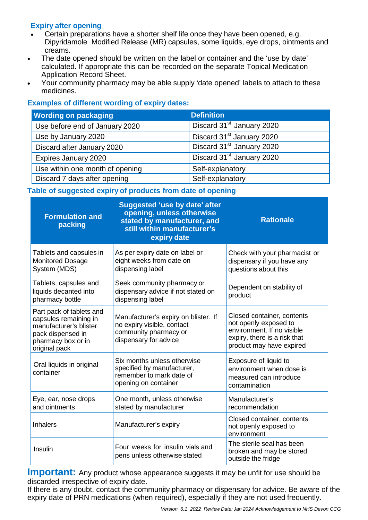# **Expiry after opening**

- Certain preparations have a shorter shelf life once they have been opened, e.g. Dipyridamole Modified Release (MR) capsules, some liquids, eye drops, ointments and creams.
- The date opened should be written on the label or container and the 'use by date' calculated. If appropriate this can be recorded on the separate Topical Medication Application Record Sheet.
- Your community pharmacy may be able supply 'date opened' labels to attach to these medicines.

# **Examples of different wording of expiry dates:**

| <b>Wording on packaging</b>     | <b>Definition</b>                     |
|---------------------------------|---------------------------------------|
| Use before end of January 2020  | Discard 31 <sup>st</sup> January 2020 |
| Use by January 2020             | Discard 31 <sup>st</sup> January 2020 |
| Discard after January 2020      | Discard 31 <sup>st</sup> January 2020 |
| Expires January 2020            | Discard 31 <sup>st</sup> January 2020 |
| Use within one month of opening | Self-explanatory                      |
| Discard 7 days after opening    | Self-explanatory                      |

# **Table of suggested expiry of products from date of opening**

| <b>Formulation and</b><br>packing                                                                                                       | <b>Suggested 'use by date' after</b><br>opening, unless otherwise<br>stated by manufacturer, and<br>still within manufacturer's<br>expiry date | <b>Rationale</b>                                                                                                                              |
|-----------------------------------------------------------------------------------------------------------------------------------------|------------------------------------------------------------------------------------------------------------------------------------------------|-----------------------------------------------------------------------------------------------------------------------------------------------|
| Tablets and capsules in<br><b>Monitored Dosage</b><br>System (MDS)                                                                      | As per expiry date on label or<br>eight weeks from date on<br>dispensing label                                                                 | Check with your pharmacist or<br>dispensary if you have any<br>questions about this                                                           |
| Tablets, capsules and<br>liquids decanted into<br>pharmacy bottle                                                                       | Seek community pharmacy or<br>dispensary advice if not stated on<br>dispensing label                                                           | Dependent on stability of<br>product                                                                                                          |
| Part pack of tablets and<br>capsules remaining in<br>manufacturer's blister<br>pack dispensed in<br>pharmacy box or in<br>original pack | Manufacturer's expiry on blister. If<br>no expiry visible, contact<br>community pharmacy or<br>dispensary for advice                           | Closed container, contents<br>not openly exposed to<br>environment. If no visible<br>expiry, there is a risk that<br>product may have expired |
| Oral liquids in original<br>container                                                                                                   | Six months unless otherwise<br>specified by manufacturer,<br>remember to mark date of<br>opening on container                                  | Exposure of liquid to<br>environment when dose is<br>measured can introduce<br>contamination                                                  |
| Eye, ear, nose drops<br>and ointments                                                                                                   | One month, unless otherwise<br>stated by manufacturer                                                                                          | Manufacturer's<br>recommendation                                                                                                              |
| <b>Inhalers</b>                                                                                                                         | Manufacturer's expiry                                                                                                                          | Closed container, contents<br>not openly exposed to<br>environment                                                                            |
| Insulin                                                                                                                                 | Four weeks for insulin vials and<br>pens unless otherwise stated                                                                               | The sterile seal has been<br>broken and may be stored<br>outside the fridge                                                                   |

**Important:** Any product whose appearance suggests it may be unfit for use should be discarded irrespective of expiry date.

If there is any doubt, contact the community pharmacy or dispensary for advice. Be aware of the expiry date of PRN medications (when required), especially if they are not used frequently.